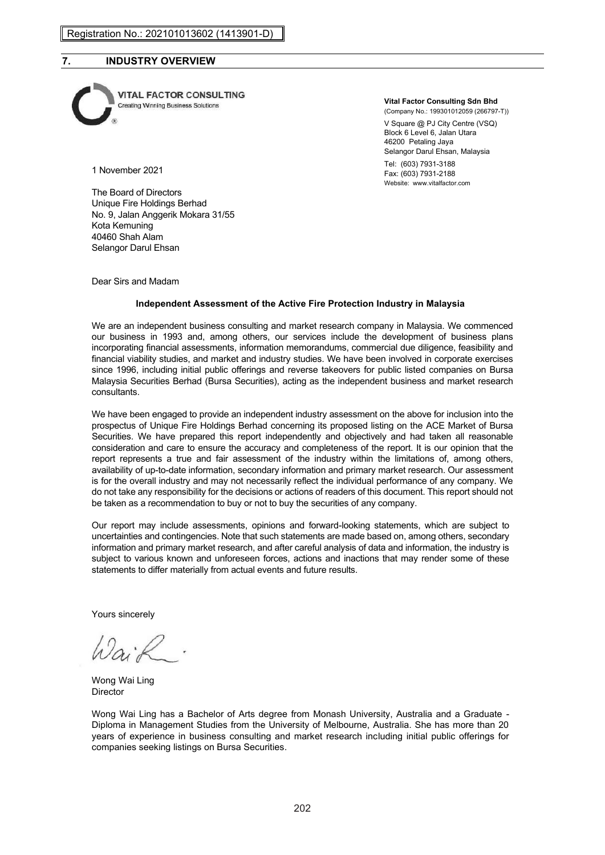## **7. INDUSTRY OVERVIEW**



**VITAL FACTOR CONSULTING**<br>Creating Winning Business Solutions

#### **Vital Factor Consulting Sdn Bhd**

(Company No.: 199301012059 (266797-T)) V Square @ PJ City Centre (VSQ) Block 6 Level 6, Jalan Utara 46200 Petaling Jaya Selangor Darul Ehsan, Malaysia

Tel: (603) 7931-3188 Fax: (603) 7931-2188 Website: www.vitalfactor.com

1 November 2021

The Board of Directors Unique Fire Holdings Berhad No. 9, Jalan Anggerik Mokara 31/55 Kota Kemuning 40460 Shah Alam Selangor Darul Ehsan

Dear Sirs and Madam

#### **Independent Assessment of the Active Fire Protection Industry in Malaysia**

We are an independent business consulting and market research company in Malaysia. We commenced our business in 1993 and, among others, our services include the development of business plans incorporating financial assessments, information memorandums, commercial due diligence, feasibility and financial viability studies, and market and industry studies. We have been involved in corporate exercises since 1996, including initial public offerings and reverse takeovers for public listed companies on Bursa Malaysia Securities Berhad (Bursa Securities), acting as the independent business and market research consultants.

We have been engaged to provide an independent industry assessment on the above for inclusion into the prospectus of Unique Fire Holdings Berhad concerning its proposed listing on the ACE Market of Bursa Securities. We have prepared this report independently and objectively and had taken all reasonable consideration and care to ensure the accuracy and completeness of the report. It is our opinion that the report represents a true and fair assessment of the industry within the limitations of, among others, availability of up-to-date information, secondary information and primary market research. Our assessment is for the overall industry and may not necessarily reflect the individual performance of any company. We do not take any responsibility for the decisions or actions of readers of this document. This report should not be taken as a recommendation to buy or not to buy the securities of any company.

Our report may include assessments, opinions and forward-looking statements, which are subject to uncertainties and contingencies. Note that such statements are made based on, among others, secondary information and primary market research, and after careful analysis of data and information, the industry is subject to various known and unforeseen forces, actions and inactions that may render some of these statements to differ materially from actual events and future results.

Yours sincerely

Wong Wai Ling Director

Wong Wai Ling has a Bachelor of Arts degree from Monash University, Australia and a Graduate - Diploma in Management Studies from the University of Melbourne, Australia. She has more than 20 years of experience in business consulting and market research including initial public offerings for companies seeking listings on Bursa Securities.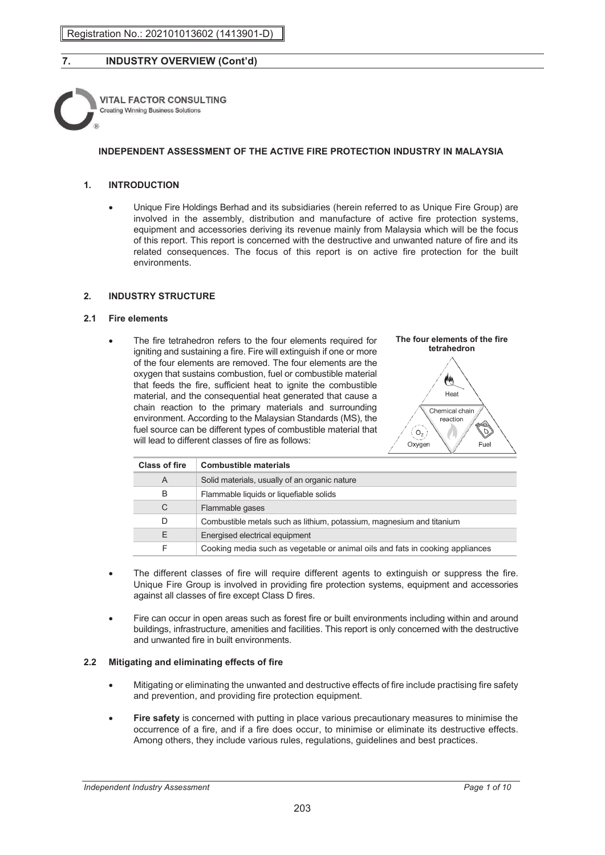

### **INDEPENDENT ASSESSMENT OF THE ACTIVE FIRE PROTECTION INDUSTRY IN MALAYSIA**

### **1. INTRODUCTION**

• Unique Fire Holdings Berhad and its subsidiaries (herein referred to as Unique Fire Group) are involved in the assembly, distribution and manufacture of active fire protection systems, equipment and accessories deriving its revenue mainly from Malaysia which will be the focus of this report. This report is concerned with the destructive and unwanted nature of fire and its related consequences. The focus of this report is on active fire protection for the built environments.

### **2. INDUSTRY STRUCTURE**

### **2.1 Fire elements**

The fire tetrahedron refers to the four elements required for igniting and sustaining a fire. Fire will extinguish if one or more of the four elements are removed. The four elements are the oxygen that sustains combustion, fuel or combustible material that feeds the fire, sufficient heat to ignite the combustible material, and the consequential heat generated that cause a chain reaction to the primary materials and surrounding environment. According to the Malaysian Standards (MS), the fuel source can be different types of combustible material that will lead to different classes of fire as follows:



| <b>Class of fire</b> | <b>Combustible materials</b>                                                  |
|----------------------|-------------------------------------------------------------------------------|
| A                    | Solid materials, usually of an organic nature                                 |
| B                    | Flammable liquids or liquefiable solids                                       |
| C                    | Flammable gases                                                               |
| D.                   | Combustible metals such as lithium, potassium, magnesium and titanium         |
| F.                   | Energised electrical equipment                                                |
| F                    | Cooking media such as vegetable or animal oils and fats in cooking appliances |

- The different classes of fire will require different agents to extinguish or suppress the fire. Unique Fire Group is involved in providing fire protection systems, equipment and accessories against all classes of fire except Class D fires.
- Fire can occur in open areas such as forest fire or built environments including within and around buildings, infrastructure, amenities and facilities. This report is only concerned with the destructive and unwanted fire in built environments.

### **2.2 Mitigating and eliminating effects of fire**

- Mitigating or eliminating the unwanted and destructive effects of fire include practising fire safety and prevention, and providing fire protection equipment.
- **Fire safety** is concerned with putting in place various precautionary measures to minimise the occurrence of a fire, and if a fire does occur, to minimise or eliminate its destructive effects. Among others, they include various rules, regulations, guidelines and best practices.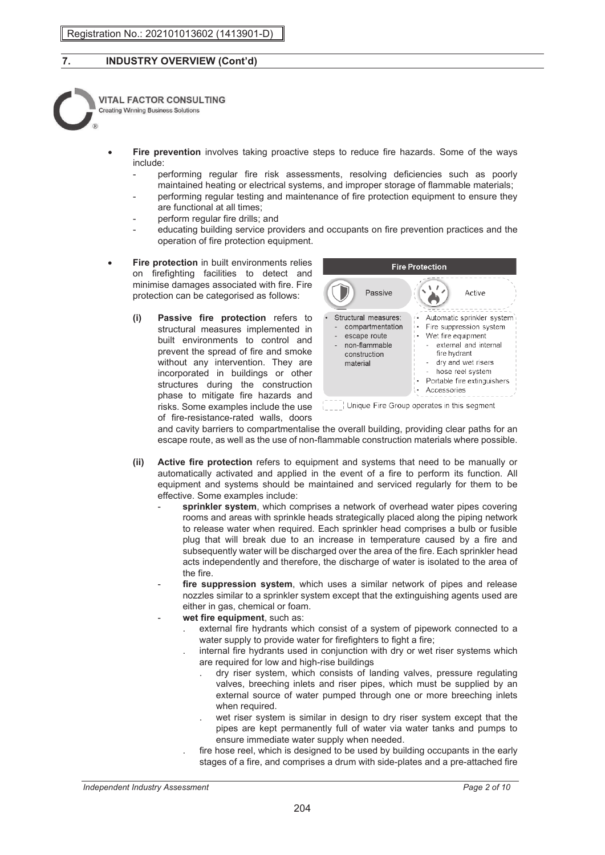

- **Fire prevention** involves taking proactive steps to reduce fire hazards. Some of the ways include:
	- performing regular fire risk assessments, resolving deficiencies such as poorly maintained heating or electrical systems, and improper storage of flammable materials;
	- performing regular testing and maintenance of fire protection equipment to ensure they are functional at all times;
	- perform regular fire drills; and
	- educating building service providers and occupants on fire prevention practices and the operation of fire protection equipment.
- **Fire protection** in built environments relies on firefighting facilities to detect and minimise damages associated with fire. Fire protection can be categorised as follows:
	- **(i) Passive fire protection** refers to structural measures implemented in built environments to control and prevent the spread of fire and smoke without any intervention. They are incorporated in buildings or other structures during the construction phase to mitigate fire hazards and risks. Some examples include the use of fire-resistance-rated walls, doors



and cavity barriers to compartmentalise the overall building, providing clear paths for an escape route, as well as the use of non-flammable construction materials where possible.

- **(ii) Active fire protection** refers to equipment and systems that need to be manually or automatically activated and applied in the event of a fire to perform its function. All equipment and systems should be maintained and serviced regularly for them to be effective. Some examples include:
	- sprinkler system, which comprises a network of overhead water pipes covering rooms and areas with sprinkle heads strategically placed along the piping network to release water when required. Each sprinkler head comprises a bulb or fusible plug that will break due to an increase in temperature caused by a fire and subsequently water will be discharged over the area of the fire. Each sprinkler head acts independently and therefore, the discharge of water is isolated to the area of the fire.
	- fire suppression system, which uses a similar network of pipes and release nozzles similar to a sprinkler system except that the extinguishing agents used are either in gas, chemical or foam.
	- wet fire equipment, such as:
		- . external fire hydrants which consist of a system of pipework connected to a water supply to provide water for firefighters to fight a fire;
		- . internal fire hydrants used in conjunction with dry or wet riser systems which are required for low and high-rise buildings
			- . dry riser system, which consists of landing valves, pressure regulating valves, breeching inlets and riser pipes, which must be supplied by an external source of water pumped through one or more breeching inlets when required.
			- wet riser system is similar in design to dry riser system except that the pipes are kept permanently full of water via water tanks and pumps to ensure immediate water supply when needed.
		- fire hose reel, which is designed to be used by building occupants in the early stages of a fire, and comprises a drum with side-plates and a pre-attached fire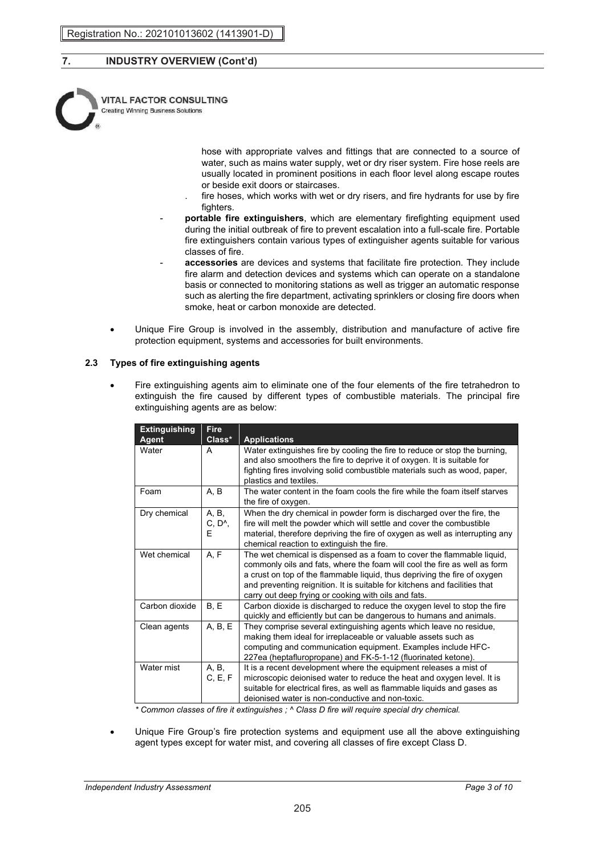

hose with appropriate valves and fittings that are connected to a source of water, such as mains water supply, wet or dry riser system. Fire hose reels are usually located in prominent positions in each floor level along escape routes or beside exit doors or staircases.

- fire hoses, which works with wet or dry risers, and fire hydrants for use by fire fighters.
- **portable fire extinguishers**, which are elementary firefighting equipment used during the initial outbreak of fire to prevent escalation into a full-scale fire. Portable fire extinguishers contain various types of extinguisher agents suitable for various classes of fire.
- accessories are devices and systems that facilitate fire protection. They include fire alarm and detection devices and systems which can operate on a standalone basis or connected to monitoring stations as well as trigger an automatic response such as alerting the fire department, activating sprinklers or closing fire doors when smoke, heat or carbon monoxide are detected.
- Unique Fire Group is involved in the assembly, distribution and manufacture of active fire protection equipment, systems and accessories for built environments.

### **2.3 Types of fire extinguishing agents**

• Fire extinguishing agents aim to eliminate one of the four elements of the fire tetrahedron to extinguish the fire caused by different types of combustible materials. The principal fire extinguishing agents are as below:

| <b>Extinguishing</b><br>Agent | <b>Fire</b><br>Class*           | <b>Applications</b>                                                                                                                                                                                                                                                                                                                                                    |
|-------------------------------|---------------------------------|------------------------------------------------------------------------------------------------------------------------------------------------------------------------------------------------------------------------------------------------------------------------------------------------------------------------------------------------------------------------|
| Water                         | A                               | Water extinguishes fire by cooling the fire to reduce or stop the burning,<br>and also smoothers the fire to deprive it of oxygen. It is suitable for<br>fighting fires involving solid combustible materials such as wood, paper,<br>plastics and textiles.                                                                                                           |
| Foam                          | A, B                            | The water content in the foam cools the fire while the foam itself starves<br>the fire of oxygen.                                                                                                                                                                                                                                                                      |
| Dry chemical                  | A, B,<br>C, D <sub>A</sub><br>Е | When the dry chemical in powder form is discharged over the fire, the<br>fire will melt the powder which will settle and cover the combustible<br>material, therefore depriving the fire of oxygen as well as interrupting any<br>chemical reaction to extinguish the fire.                                                                                            |
| Wet chemical                  | A, F                            | The wet chemical is dispensed as a foam to cover the flammable liquid,<br>commonly oils and fats, where the foam will cool the fire as well as form<br>a crust on top of the flammable liquid, thus depriving the fire of oxygen<br>and preventing reignition. It is suitable for kitchens and facilities that<br>carry out deep frying or cooking with oils and fats. |
| Carbon dioxide                | B, E                            | Carbon dioxide is discharged to reduce the oxygen level to stop the fire<br>quickly and efficiently but can be dangerous to humans and animals.                                                                                                                                                                                                                        |
| Clean agents                  | A, B, E                         | They comprise several extinguishing agents which leave no residue,<br>making them ideal for irreplaceable or valuable assets such as<br>computing and communication equipment. Examples include HFC-<br>227ea (heptafluropropane) and FK-5-1-12 (fluorinated ketone).                                                                                                  |
| Water mist                    | A, B,<br>C, E, F                | It is a recent development where the equipment releases a mist of<br>microscopic deionised water to reduce the heat and oxygen level. It is<br>suitable for electrical fires, as well as flammable liquids and gases as<br>deionised water is non-conductive and non-toxic.                                                                                            |

*\* Common classes of fire it extinguishes ; ^ Class D fire will require special dry chemical.* 

• Unique Fire Group's fire protection systems and equipment use all the above extinguishing agent types except for water mist, and covering all classes of fire except Class D.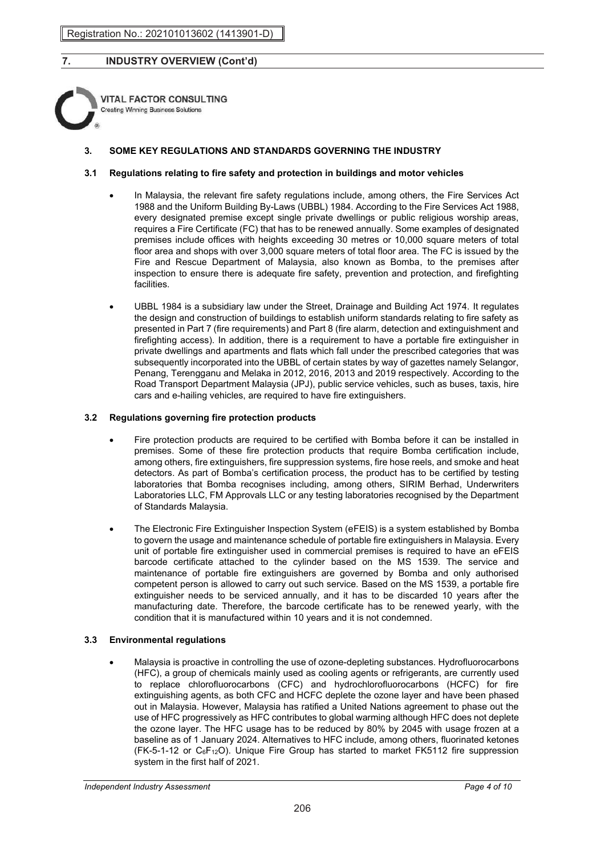**VITAL FACTOR CONSULTING Creating Winning Business Solutions** 

### **3. SOME KEY REGULATIONS AND STANDARDS GOVERNING THE INDUSTRY**

### **3.1 Regulations relating to fire safety and protection in buildings and motor vehicles**

- In Malaysia, the relevant fire safety regulations include, among others, the Fire Services Act 1988 and the Uniform Building By-Laws (UBBL) 1984. According to the Fire Services Act 1988, every designated premise except single private dwellings or public religious worship areas, requires a Fire Certificate (FC) that has to be renewed annually. Some examples of designated premises include offices with heights exceeding 30 metres or 10,000 square meters of total floor area and shops with over 3,000 square meters of total floor area. The FC is issued by the Fire and Rescue Department of Malaysia, also known as Bomba, to the premises after inspection to ensure there is adequate fire safety, prevention and protection, and firefighting facilities.
- UBBL 1984 is a subsidiary law under the Street, Drainage and Building Act 1974. It regulates the design and construction of buildings to establish uniform standards relating to fire safety as presented in Part 7 (fire requirements) and Part 8 (fire alarm, detection and extinguishment and firefighting access). In addition, there is a requirement to have a portable fire extinguisher in private dwellings and apartments and flats which fall under the prescribed categories that was subsequently incorporated into the UBBL of certain states by way of gazettes namely Selangor, Penang, Terengganu and Melaka in 2012, 2016, 2013 and 2019 respectively. According to the Road Transport Department Malaysia (JPJ), public service vehicles, such as buses, taxis, hire cars and e-hailing vehicles, are required to have fire extinguishers.

### **3.2 Regulations governing fire protection products**

- Fire protection products are required to be certified with Bomba before it can be installed in premises. Some of these fire protection products that require Bomba certification include, among others, fire extinguishers, fire suppression systems, fire hose reels, and smoke and heat detectors. As part of Bomba's certification process, the product has to be certified by testing laboratories that Bomba recognises including, among others, SIRIM Berhad, Underwriters Laboratories LLC, FM Approvals LLC or any testing laboratories recognised by the Department of Standards Malaysia.
- The Electronic Fire Extinguisher Inspection System (eFEIS) is a system established by Bomba to govern the usage and maintenance schedule of portable fire extinguishers in Malaysia. Every unit of portable fire extinguisher used in commercial premises is required to have an eFEIS barcode certificate attached to the cylinder based on the MS 1539. The service and maintenance of portable fire extinguishers are governed by Bomba and only authorised competent person is allowed to carry out such service. Based on the MS 1539, a portable fire extinguisher needs to be serviced annually, and it has to be discarded 10 years after the manufacturing date. Therefore, the barcode certificate has to be renewed yearly, with the condition that it is manufactured within 10 years and it is not condemned.

### **3.3 Environmental regulations**

• Malaysia is proactive in controlling the use of ozone-depleting substances. Hydrofluorocarbons (HFC), a group of chemicals mainly used as cooling agents or refrigerants, are currently used to replace chlorofluorocarbons (CFC) and hydrochlorofluorocarbons (HCFC) for fire extinguishing agents, as both CFC and HCFC deplete the ozone layer and have been phased out in Malaysia. However, Malaysia has ratified a United Nations agreement to phase out the use of HFC progressively as HFC contributes to global warming although HFC does not deplete the ozone layer. The HFC usage has to be reduced by 80% by 2045 with usage frozen at a baseline as of 1 January 2024. Alternatives to HFC include, among others, fluorinated ketones  $(FK-5-1-12)$  or  $C_6F_{12}O$ ). Unique Fire Group has started to market FK5112 fire suppression system in the first half of 2021.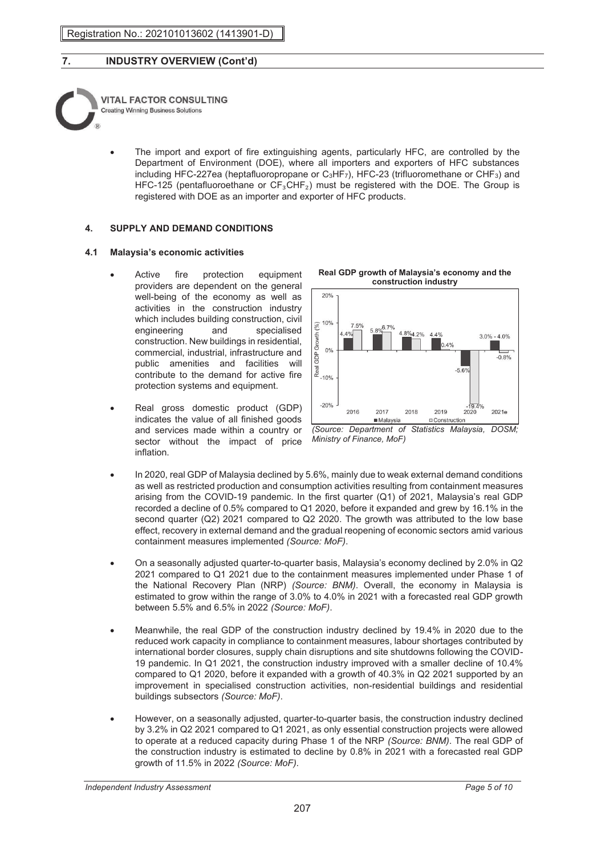

The import and export of fire extinguishing agents, particularly HFC, are controlled by the Department of Environment (DOE), where all importers and exporters of HFC substances including HFC-227ea (heptafluoropropane or  $C_3HF_7$ ), HFC-23 (trifluoromethane or CHF<sub>3</sub>) and HFC-125 (pentafluoroethane or  $CF_3CHF_2$ ) must be registered with the DOE. The Group is registered with DOE as an importer and exporter of HFC products.

### **4. SUPPLY AND DEMAND CONDITIONS**

### **4.1 Malaysia's economic activities**

- Active fire protection equipment providers are dependent on the general well-being of the economy as well as activities in the construction industry which includes building construction, civil engineering and specialised construction. New buildings in residential, commercial, industrial, infrastructure and public amenities and facilities will contribute to the demand for active fire protection systems and equipment.
- Real gross domestic product (GDP) indicates the value of all finished goods and services made within a country or sector without the impact of price inflation.





*(Source: Department of Statistics Malaysia, DOSM; Ministry of Finance, MoF)*

- In 2020, real GDP of Malaysia declined by 5.6%, mainly due to weak external demand conditions as well as restricted production and consumption activities resulting from containment measures arising from the COVID-19 pandemic. In the first quarter (Q1) of 2021, Malaysia's real GDP recorded a decline of 0.5% compared to Q1 2020, before it expanded and grew by 16.1% in the second quarter (Q2) 2021 compared to Q2 2020. The growth was attributed to the low base effect, recovery in external demand and the gradual reopening of economic sectors amid various containment measures implemented *(Source: MoF)*.
- On a seasonally adjusted quarter-to-quarter basis, Malaysia's economy declined by 2.0% in Q2 2021 compared to Q1 2021 due to the containment measures implemented under Phase 1 of the National Recovery Plan (NRP) *(Source: BNM)*. Overall, the economy in Malaysia is estimated to grow within the range of 3.0% to 4.0% in 2021 with a forecasted real GDP growth between 5.5% and 6.5% in 2022 *(Source: MoF)*.
- Meanwhile, the real GDP of the construction industry declined by 19.4% in 2020 due to the reduced work capacity in compliance to containment measures, labour shortages contributed by international border closures, supply chain disruptions and site shutdowns following the COVID-19 pandemic. In Q1 2021, the construction industry improved with a smaller decline of 10.4% compared to Q1 2020, before it expanded with a growth of 40.3% in Q2 2021 supported by an improvement in specialised construction activities, non-residential buildings and residential buildings subsectors *(Source: MoF)*.
- However, on a seasonally adjusted, quarter-to-quarter basis, the construction industry declined by 3.2% in Q2 2021 compared to Q1 2021, as only essential construction projects were allowed to operate at a reduced capacity during Phase 1 of the NRP *(Source: BNM)*. The real GDP of the construction industry is estimated to decline by 0.8% in 2021 with a forecasted real GDP growth of 11.5% in 2022 *(Source: MoF)*.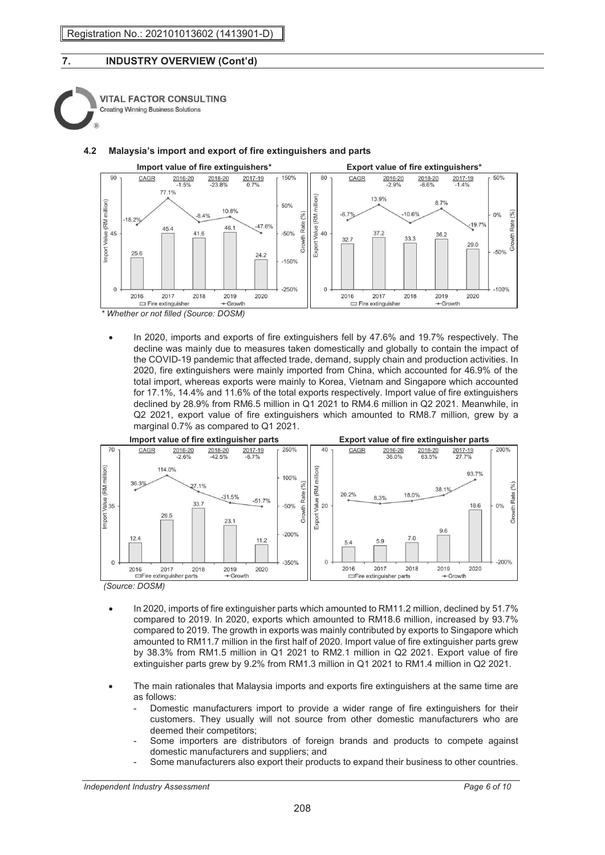



**4.2 Malaysia's import and export of fire extinguishers and parts**

*\* Whether or not filled (Source: DOSM)*

• In 2020, imports and exports of fire extinguishers fell by 47.6% and 19.7% respectively. The decline was mainly due to measures taken domestically and globally to contain the impact of the COVID-19 pandemic that affected trade, demand, supply chain and production activities. In 2020, fire extinguishers were mainly imported from China, which accounted for 46.9% of the total import, whereas exports were mainly to Korea, Vietnam and Singapore which accounted for 17.1%, 14.4% and 11.6% of the total exports respectively. Import value of fire extinguishers declined by 28.9% from RM6.5 million in Q1 2021 to RM4.6 million in Q2 2021. Meanwhile, in Q2 2021, export value of fire extinguishers which amounted to RM8.7 million, grew by a marginal 0.7% as compared to Q1 2021.



- 
- In 2020, imports of fire extinguisher parts which amounted to RM11.2 million, declined by 51.7% compared to 2019. In 2020, exports which amounted to RM18.6 million, increased by 93.7% compared to 2019. The growth in exports was mainly contributed by exports to Singapore which amounted to RM11.7 million in the first half of 2020. Import value of fire extinguisher parts grew by 38.3% from RM1.5 million in Q1 2021 to RM2.1 million in Q2 2021. Export value of fire extinguisher parts grew by 9.2% from RM1.3 million in Q1 2021 to RM1.4 million in Q2 2021.
- The main rationales that Malaysia imports and exports fire extinguishers at the same time are as follows:
	- Domestic manufacturers import to provide a wider range of fire extinguishers for their customers. They usually will not source from other domestic manufacturers who are deemed their competitors;
	- Some importers are distributors of foreign brands and products to compete against domestic manufacturers and suppliers; and
	- Some manufacturers also export their products to expand their business to other countries.

*Independent Industry Assessment Page 6 of 10*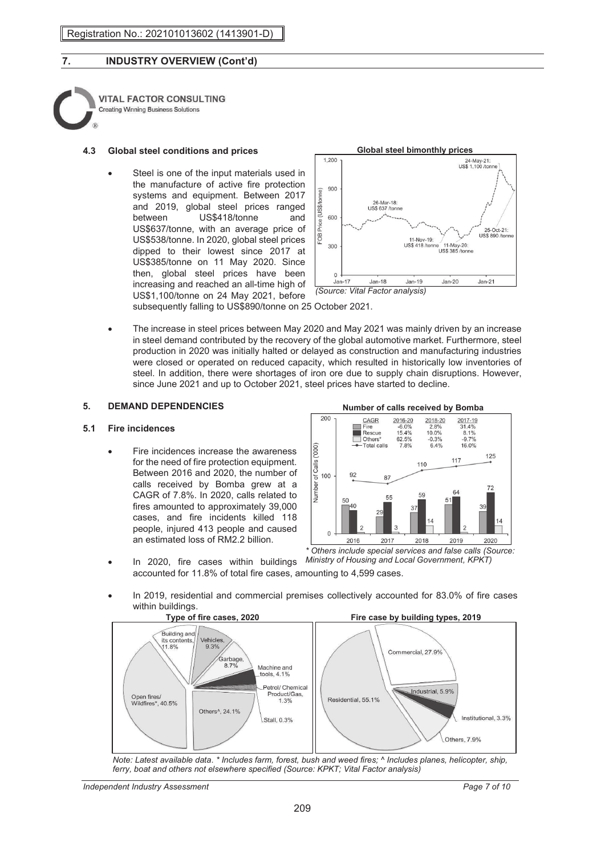| <b>VITAL FACTOR CONSULTING</b>             |
|--------------------------------------------|
| <b>Creating Winning Business Solutions</b> |
|                                            |

### **4.3 Global steel conditions and prices**

Steel is one of the input materials used in the manufacture of active fire protection systems and equipment. Between 2017 and 2019, global steel prices ranged<br>between US\$418/tonne and US\$418/tonne and US\$637/tonne, with an average price of US\$538/tonne. In 2020, global steel prices dipped to their lowest since 2017 at US\$385/tonne on 11 May 2020. Since then, global steel prices have been increasing and reached an all-time high of US\$1,100/tonne on 24 May 2021, before



subsequently falling to US\$890/tonne on 25 October 2021.

• The increase in steel prices between May 2020 and May 2021 was mainly driven by an increase in steel demand contributed by the recovery of the global automotive market. Furthermore, steel production in 2020 was initially halted or delayed as construction and manufacturing industries were closed or operated on reduced capacity, which resulted in historically low inventories of steel. In addition, there were shortages of iron ore due to supply chain disruptions. However, since June 2021 and up to October 2021, steel prices have started to decline.

### **5. DEMAND DEPENDENCIES**

### **5.1 Fire incidences**

• Fire incidences increase the awareness for the need of fire protection equipment. Between 2016 and 2020, the number of calls received by Bomba grew at a CAGR of 7.8%. In 2020, calls related to fires amounted to approximately 39,000 cases, and fire incidents killed 118 people, injured 413 people and caused an estimated loss of RM2.2 billion.

#### **Number of calls received by Bomba**



• In 2020, fire cases within buildings *Ministry of Housing and Local Government, KPKT)* accounted for 11.8% of total fire cases, amounting to 4,599 cases.

• In 2019, residential and commercial premises collectively accounted for 83.0% of fire cases within buildings.<br>Type of fire cases, 2020



*Note: Latest available data*. *\* Includes farm, forest, bush and weed fires; ^ Includes planes, helicopter, ship, ferry, boat and others not elsewhere specified (Source: KPKT; Vital Factor analysis)*

*Independent Industry Assessment Page 7 of 10*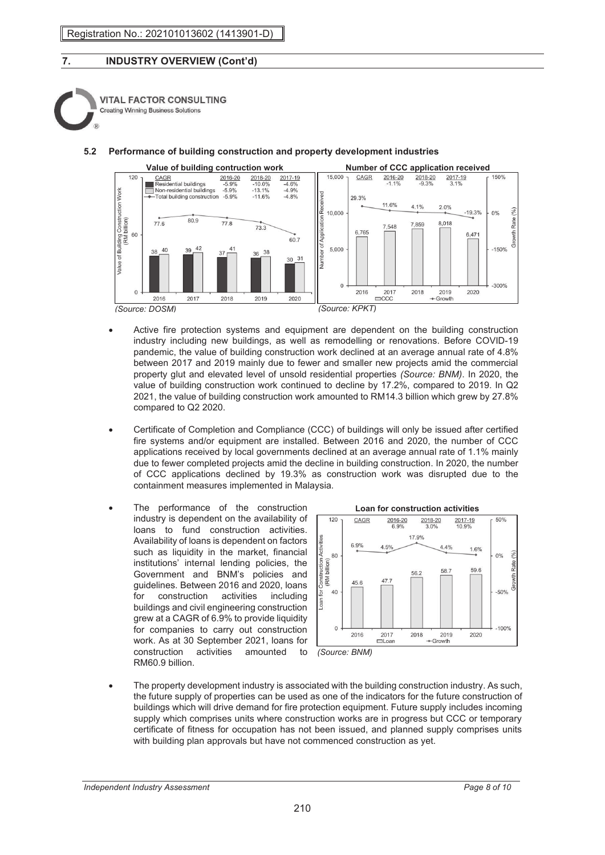**VITAL FACTOR CONSULTING Creating Winning Business Solutions** 





- Active fire protection systems and equipment are dependent on the building construction industry including new buildings, as well as remodelling or renovations. Before COVID-19 pandemic, the value of building construction work declined at an average annual rate of 4.8% between 2017 and 2019 mainly due to fewer and smaller new projects amid the commercial property glut and elevated level of unsold residential properties *(Source: BNM)*. In 2020, the value of building construction work continued to decline by 17.2%, compared to 2019. In Q2 2021, the value of building construction work amounted to RM14.3 billion which grew by 27.8% compared to Q2 2020.
- Certificate of Completion and Compliance (CCC) of buildings will only be issued after certified fire systems and/or equipment are installed. Between 2016 and 2020, the number of CCC applications received by local governments declined at an average annual rate of 1.1% mainly due to fewer completed projects amid the decline in building construction. In 2020, the number of CCC applications declined by 19.3% as construction work was disrupted due to the containment measures implemented in Malaysia.
- The performance of the construction industry is dependent on the availability of loans to fund construction activities. Availability of loans is dependent on factors such as liquidity in the market, financial institutions' internal lending policies, the Government and BNM's policies and guidelines. Between 2016 and 2020, loans for construction activities including buildings and civil engineering construction grew at a CAGR of 6.9% to provide liquidity for companies to carry out construction work. As at 30 September 2021, loans for construction activities amounted to RM60.9 billion.



• The property development industry is associated with the building construction industry. As such, the future supply of properties can be used as one of the indicators for the future construction of buildings which will drive demand for fire protection equipment. Future supply includes incoming supply which comprises units where construction works are in progress but CCC or temporary certificate of fitness for occupation has not been issued, and planned supply comprises units with building plan approvals but have not commenced construction as yet.

*Independent Industry Assessment Page 8 of 10*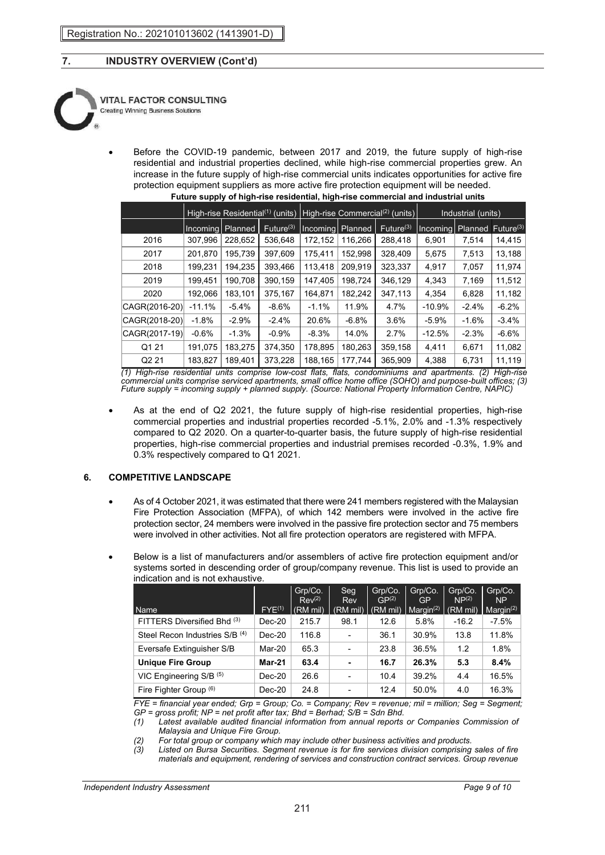

• Before the COVID-19 pandemic, between 2017 and 2019, the future supply of high-rise residential and industrial properties declined, while high-rise commercial properties grew. An increase in the future supply of high-rise commercial units indicates opportunities for active fire protection equipment suppliers as more active fire protection equipment will be needed. **Future supply of high-rise residential, high-rise commercial and industrial units**

|                   | High-rise Residential $(1)$ (units) |         |                       | High-rise Commercial <sup>(<math>\overline{2}</math>)</sup> (units) |         |                       | Industrial (units) |         |                       |
|-------------------|-------------------------------------|---------|-----------------------|---------------------------------------------------------------------|---------|-----------------------|--------------------|---------|-----------------------|
|                   | Incoming                            | Planned | Future <sup>(3)</sup> | Incoming Planned                                                    |         | Future <sup>(3)</sup> | Incoming Planned   |         | Future <sup>(3)</sup> |
| 2016              | 307,996                             | 228,652 | 536,648               | 172,152                                                             | 116,266 | 288,418               | 6,901              | 7,514   | 14,415                |
| 2017              | 201,870                             | 195,739 | 397,609               | 175.411                                                             | 152,998 | 328,409               | 5,675              | 7,513   | 13,188                |
| 2018              | 199,231                             | 194,235 | 393,466               | 113.418                                                             | 209.919 | 323,337               | 4,917              | 7,057   | 11,974                |
| 2019              | 199,451                             | 190,708 | 390,159               | 147,405                                                             | 198,724 | 346,129               | 4,343              | 7,169   | 11,512                |
| 2020              | 192,066                             | 183,101 | 375,167               | 164,871                                                             | 182,242 | 347,113               | 4,354              | 6,828   | 11,182                |
| CAGR(2016-20)     | $-11.1%$                            | $-5.4%$ | $-8.6%$               | $-1.1%$                                                             | 11.9%   | 4.7%                  | $-10.9%$           | $-2.4%$ | $-6.2%$               |
| CAGR(2018-20)     | $-1.8%$                             | $-2.9%$ | $-2.4%$               | 20.6%                                                               | $-6.8%$ | $3.6\%$               | $-5.9%$            | $-1.6%$ | $-3.4%$               |
| CAGR(2017-19)     | $-0.6%$                             | $-1.3%$ | $-0.9%$               | $-8.3%$                                                             | 14.0%   | 2.7%                  | $-12.5%$           | $-2.3%$ | $-6.6%$               |
| Q1 21             | 191,075                             | 183,275 | 374,350               | 178,895                                                             | 180,263 | 359,158               | 4,411              | 6,671   | 11,082                |
| Q <sub>2</sub> 21 | 183,827                             | 189,401 | 373,228               | 188,165                                                             | 177,744 | 365,909               | 4,388              | 6,731   | 11,119                |

*(1) High-rise residential units comprise low-cost flats, flats, condominiums and apartments. (2) High-rise commercial units comprise serviced apartments, small office home office (SOHO) and purpose-built offices; (3) Future supply = incoming supply + planned supply. (Source: National Property Information Centre, NAPIC)*

• As at the end of Q2 2021, the future supply of high-rise residential properties, high-rise commercial properties and industrial properties recorded -5.1%, 2.0% and -1.3% respectively compared to Q2 2020. On a quarter-to-quarter basis, the future supply of high-rise residential properties, high-rise commercial properties and industrial premises recorded -0.3%, 1.9% and 0.3% respectively compared to Q1 2021.

### **6. COMPETITIVE LANDSCAPE**

- As of 4 October 2021, it was estimated that there were 241 members registered with the Malaysian Fire Protection Association (MFPA), of which 142 members were involved in the active fire protection sector, 24 members were involved in the passive fire protection sector and 75 members were involved in other activities. Not all fire protection operators are registered with MFPA.
- Below is a list of manufacturers and/or assemblers of active fire protection equipment and/or systems sorted in descending order of group/company revenue. This list is used to provide an indication and is not exhaustive.

| Name                           | $FYE^{(1)}$ | Grp/Co.<br>Rev <sup>(2)</sup><br>(RM mil) | Seq.<br>Rev<br>(RM mil) | Grp/Co.<br>GP <sup>(2)</sup><br>(RM mil) | Grp/Co.<br>GP<br>Margin <sup>(2)</sup> | Grp/Co.<br>NP <sup>(2)</sup><br>(RM mil) | Grp/Co.<br><b>NP</b><br>Margin <sup>(2)</sup> |
|--------------------------------|-------------|-------------------------------------------|-------------------------|------------------------------------------|----------------------------------------|------------------------------------------|-----------------------------------------------|
| FITTERS Diversified Bhd (3)    | Dec-20      | 215.7                                     | 98.1                    | 12.6                                     | 5.8%                                   | $-16.2$                                  | $-7.5%$                                       |
| Steel Recon Industries S/B (4) | $Dec-20$    | 116.8                                     | $\overline{a}$          | 36.1                                     | 30.9%                                  | 13.8                                     | 11.8%                                         |
| Eversafe Extinguisher S/B      | Mar-20      | 65.3                                      | ۰                       | 23.8                                     | 36.5%                                  | 1.2                                      | 1.8%                                          |
| <b>Unique Fire Group</b>       | Mar-21      | 63.4                                      | ۰                       | 16.7                                     | 26.3%                                  | 5.3                                      | 8.4%                                          |
| VIC Engineering S/B (5)        | Dec-20      | 26.6                                      | -                       | 10.4                                     | 39.2%                                  | 4.4                                      | 16.5%                                         |
| Fire Fighter Group (6)         | $Dec-20$    | 24.8                                      | -                       | 12.4                                     | 50.0%                                  | 4.0                                      | 16.3%                                         |

*FYE = financial year ended; Grp = Group; Co. = Company; Rev = revenue; mil = million; Seg = Segment; GP = gross profit; NP = net profit after tax; Bhd = Berhad; S/B = Sdn Bhd.*

*(1) Latest available audited financial information from annual reports or Companies Commission of Malaysia and Unique Fire Group.*

*(2) For total group or company which may include other business activities and products.* 

*(3) Listed on Bursa Securities. Segment revenue is for fire services division comprising sales of fire materials and equipment, rendering of services and construction contract services. Group revenue*